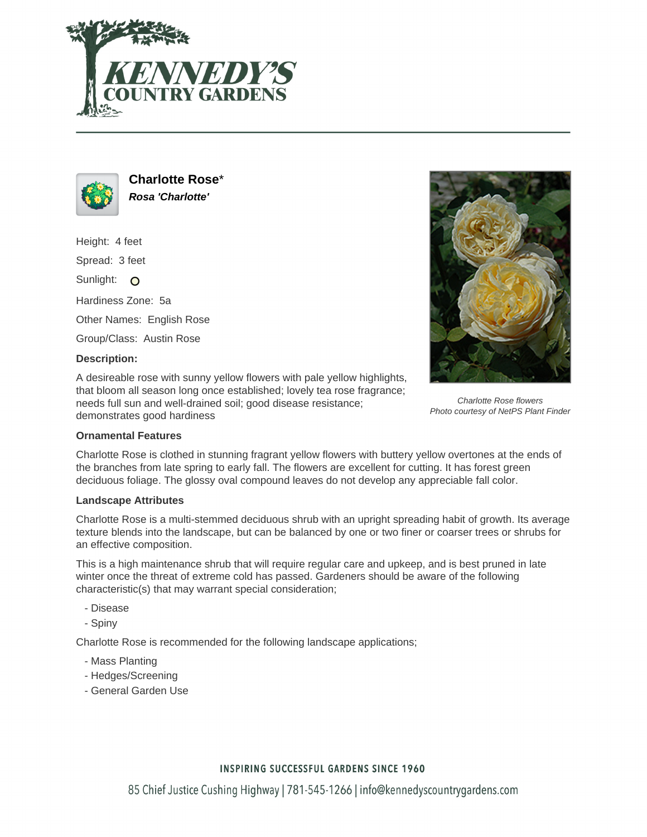



**Charlotte Rose**\* **Rosa 'Charlotte'**

Height: 4 feet

Spread: 3 feet

Sunlight: O

Hardiness Zone: 5a

Other Names: English Rose

Group/Class: Austin Rose

### **Description:**

A desireable rose with sunny yellow flowers with pale yellow highlights, that bloom all season long once established; lovely tea rose fragrance; needs full sun and well-drained soil; good disease resistance; demonstrates good hardiness



Charlotte Rose flowers Photo courtesy of NetPS Plant Finder

### **Ornamental Features**

Charlotte Rose is clothed in stunning fragrant yellow flowers with buttery yellow overtones at the ends of the branches from late spring to early fall. The flowers are excellent for cutting. It has forest green deciduous foliage. The glossy oval compound leaves do not develop any appreciable fall color.

## **Landscape Attributes**

Charlotte Rose is a multi-stemmed deciduous shrub with an upright spreading habit of growth. Its average texture blends into the landscape, but can be balanced by one or two finer or coarser trees or shrubs for an effective composition.

This is a high maintenance shrub that will require regular care and upkeep, and is best pruned in late winter once the threat of extreme cold has passed. Gardeners should be aware of the following characteristic(s) that may warrant special consideration;

- Disease
- Spiny

Charlotte Rose is recommended for the following landscape applications;

- Mass Planting
- Hedges/Screening
- General Garden Use

# **INSPIRING SUCCESSFUL GARDENS SINCE 1960**